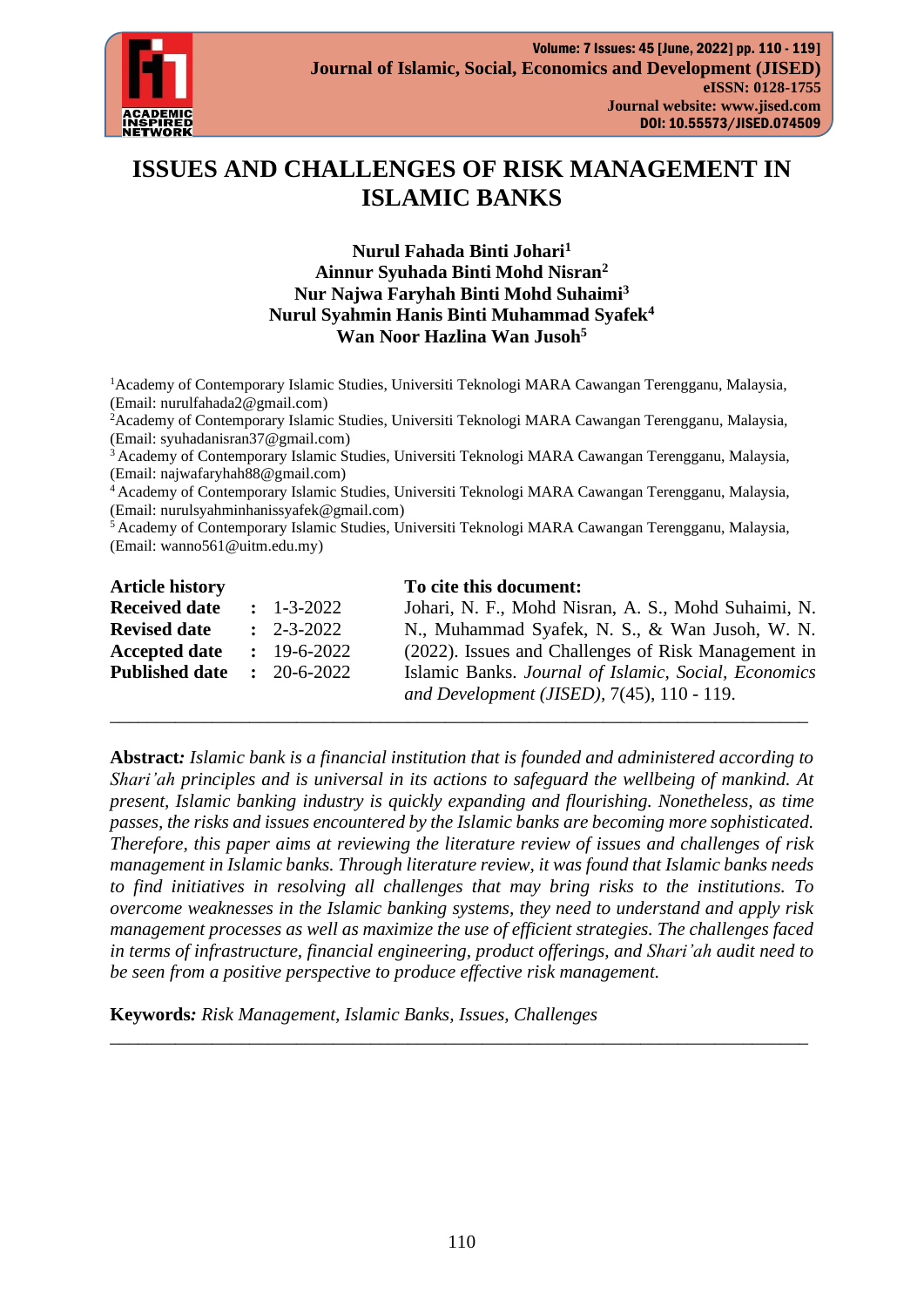

# **ISSUES AND CHALLENGES OF RISK MANAGEMENT IN ISLAMIC BANKS**

**Nurul Fahada Binti Johari<sup>1</sup> Ainnur Syuhada Binti Mohd Nisran<sup>2</sup> Nur Najwa Faryhah Binti Mohd Suhaimi<sup>3</sup> Nurul Syahmin Hanis Binti Muhammad Syafek<sup>4</sup> Wan Noor Hazlina Wan Jusoh<sup>5</sup>**

<sup>1</sup> Academy of Contemporary Islamic Studies, Universiti Teknologi MARA Cawangan Terengganu, Malaysia, (Email: [nurulfahada2@gmail.com\)](mailto:nurulfahada2@gmail.com)

<sup>2</sup>Academy of Contemporary Islamic Studies, Universiti Teknologi MARA Cawangan Terengganu, Malaysia, (Email: [syuhadanisran37@gmail.com\)](mailto:syuhadanisran37@gmail.com)

<sup>3</sup> Academy of Contemporary Islamic Studies, Universiti Teknologi MARA Cawangan Terengganu, Malaysia, (Email: [najwafaryhah88@gmail.com\)](mailto:najwafaryhah88@gmail.com)

<sup>4</sup>Academy of Contemporary Islamic Studies, Universiti Teknologi MARA Cawangan Terengganu, Malaysia, (Email: [nurulsyahminhanissyafek@gmail.com\)](mailto:nurulsyahminhanissyafek@gmail.com)

<sup>5</sup> Academy of Contemporary Islamic Studies, Universiti Teknologi MARA Cawangan Terengganu, Malaysia, (Email: [wanno561@uitm.edu.my\)](mailto:wanno561@uitm.edu.my)

| <b>Article history</b> |                       | To cite this document:                                    |
|------------------------|-----------------------|-----------------------------------------------------------|
| <b>Received date</b>   | $: 1 - 3 - 2022$      | Johari, N. F., Mohd Nisran, A. S., Mohd Suhaimi, N.       |
| <b>Revised date</b>    | $\therefore$ 2-3-2022 | N., Muhammad Syafek, N. S., & Wan Jusoh, W. N.            |
| <b>Accepted date</b>   | $: 19 - 6 - 2022$     | (2022). Issues and Challenges of Risk Management in       |
| <b>Published date</b>  | $: 20 - 6 - 2022$     | Islamic Banks. Journal of Islamic, Social, Economics      |
|                        |                       | and Development ( <i>JISED</i> ), $7(45)$ , $110 - 119$ . |

\_\_\_\_\_\_\_\_\_\_\_\_\_\_\_\_\_\_\_\_\_\_\_\_\_\_\_\_\_\_\_\_\_\_\_\_\_\_\_\_\_\_\_\_\_\_\_\_\_\_\_\_\_\_\_\_\_\_\_\_\_\_\_\_\_\_\_\_\_\_\_\_\_\_\_

**Abstract***: Islamic bank is a financial institution that is founded and administered according to Shari'ah principles and is universal in its actions to safeguard the wellbeing of mankind. At present, Islamic banking industry is quickly expanding and flourishing. Nonetheless, as time passes, the risks and issues encountered by the Islamic banks are becoming more sophisticated. Therefore, this paper aims at reviewing the literature review of issues and challenges of risk management in Islamic banks. Through literature review, it was found that Islamic banks needs to find initiatives in resolving all challenges that may bring risks to the institutions. To overcome weaknesses in the Islamic banking systems, they need to understand and apply risk management processes as well as maximize the use of efficient strategies. The challenges faced in terms of infrastructure, financial engineering, product offerings, and Shari'ah audit need to be seen from a positive perspective to produce effective risk management.*

\_\_\_\_\_\_\_\_\_\_\_\_\_\_\_\_\_\_\_\_\_\_\_\_\_\_\_\_\_\_\_\_\_\_\_\_\_\_\_\_\_\_\_\_\_\_\_\_\_\_\_\_\_\_\_\_\_\_\_\_\_\_\_\_\_\_\_\_\_\_\_\_\_\_\_

**Keywords***: Risk Management, Islamic Banks, Issues, Challenges*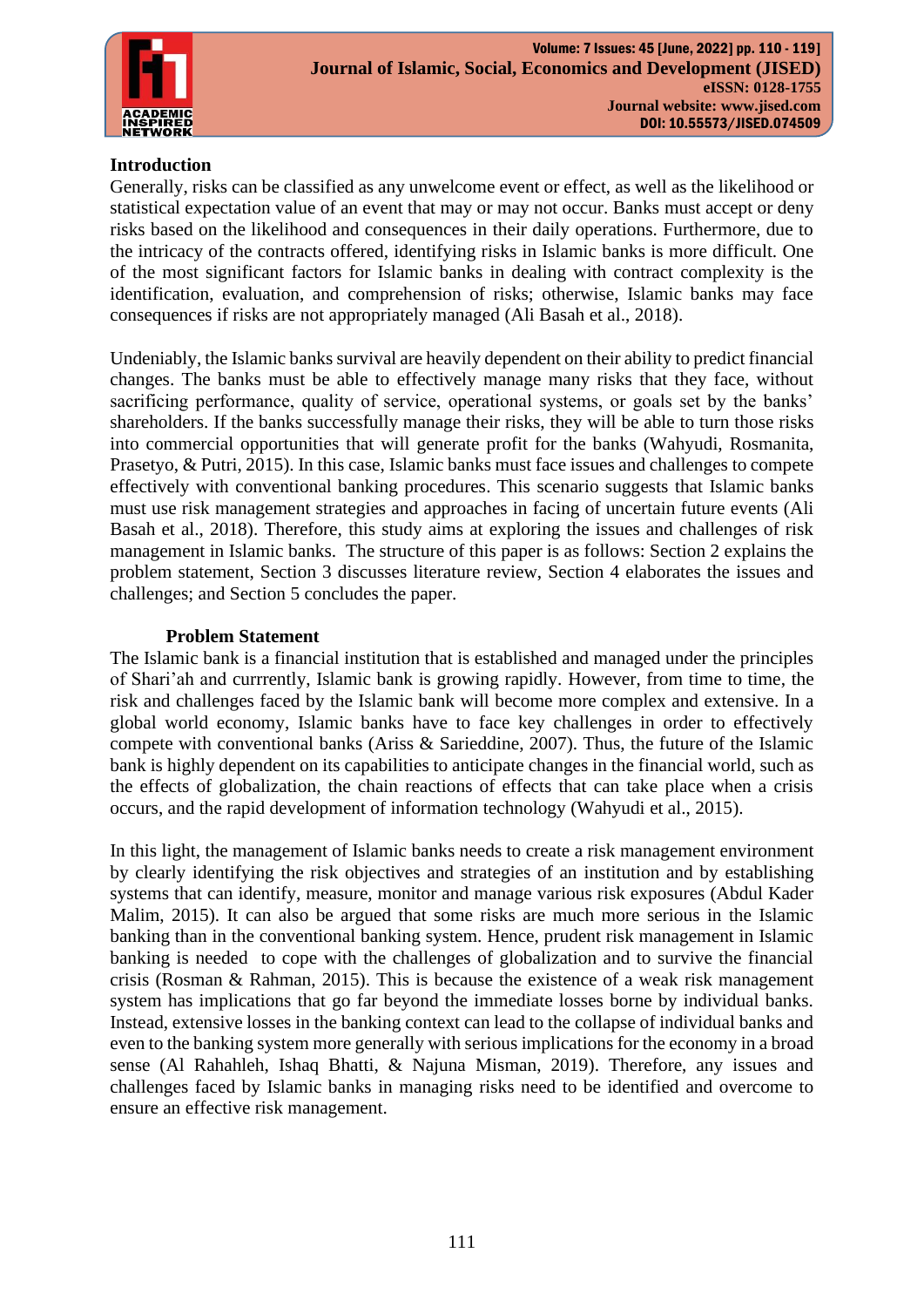

# **Introduction**

Generally, risks can be classified as any unwelcome event or effect, as well as the likelihood or statistical expectation value of an event that may or may not occur. Banks must accept or deny risks based on the likelihood and consequences in their daily operations. Furthermore, due to the intricacy of the contracts offered, identifying risks in Islamic banks is more difficult. One of the most significant factors for Islamic banks in dealing with contract complexity is the identification, evaluation, and comprehension of risks; otherwise, Islamic banks may face consequences if risks are not appropriately managed [\(Ali Basah et al., 2018\)](#page-7-0).

Undeniably, the Islamic banks survival are heavily dependent on their ability to predict financial changes. The banks must be able to effectively manage many risks that they face, without sacrificing performance, quality of service, operational systems, or goals set by the banks' shareholders. If the banks successfully manage their risks, they will be able to turn those risks into commercial opportunities that will generate profit for the banks [\(Wahyudi, Rosmanita,](#page-9-0)  [Prasetyo, & Putri, 2015\)](#page-9-0). In this case, Islamic banks must face issues and challenges to compete effectively with conventional banking procedures. This scenario suggests that Islamic banks must use risk management strategies and approaches in facing of uncertain future events [\(Ali](#page-7-0)  [Basah et al., 2018\)](#page-7-0). Therefore, this study aims at exploring the issues and challenges of risk management in Islamic banks. The structure of this paper is as follows: Section 2 explains the problem statement, Section 3 discusses literature review, Section 4 elaborates the issues and challenges; and Section 5 concludes the paper.

### **Problem Statement**

The Islamic bank is a financial institution that is established and managed under the principles of Shari'ah and currrently, Islamic bank is growing rapidly. However, from time to time, the risk and challenges faced by the Islamic bank will become more complex and extensive. In a global world economy, Islamic banks have to face key challenges in order to effectively compete with conventional banks [\(Ariss & Sarieddine, 2007\)](#page-7-1). Thus, the future of the Islamic bank is highly dependent on its capabilities to anticipate changes in the financial world, such as the effects of globalization, the chain reactions of effects that can take place when a crisis occurs, and the rapid development of information technology [\(Wahyudi et al., 2015\)](#page-9-0).

In this light, the management of Islamic banks needs to create a risk management environment by clearly identifying the risk objectives and strategies of an institution and by establishing systems that can identify, measure, monitor and manage various risk exposures [\(Abdul Kader](#page-7-2)  [Malim, 2015\)](#page-7-2). It can also be argued that some risks are much more serious in the Islamic banking than in the conventional banking system. Hence, prudent risk management in Islamic banking is needed to cope with the challenges of globalization and to survive the financial crisis [\(Rosman & Rahman, 2015\)](#page-8-0). This is because the existence of a weak risk management system has implications that go far beyond the immediate losses borne by individual banks. Instead, extensive losses in the banking context can lead to the collapse of individual banks and even to the banking system more generally with serious implications for the economy in a broad sense [\(Al Rahahleh, Ishaq Bhatti, & Najuna Misman, 2019\)](#page-7-3). Therefore, any issues and challenges faced by Islamic banks in managing risks need to be identified and overcome to ensure an effective risk management.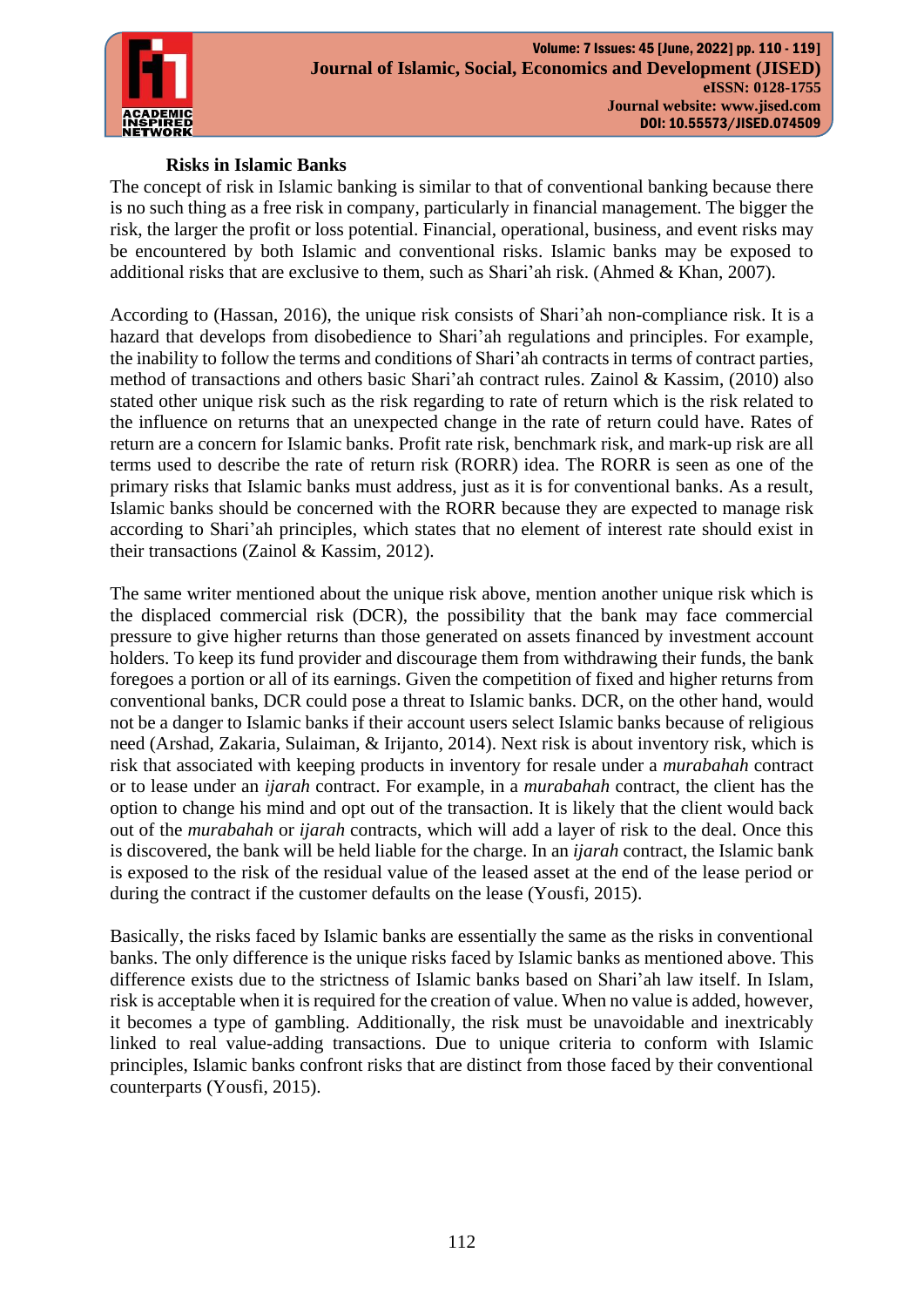

# **Risks in Islamic Banks**

The concept of risk in Islamic banking is similar to that of conventional banking because there is no such thing as a free risk in company, particularly in financial management. The bigger the risk, the larger the profit or loss potential. Financial, operational, business, and event risks may be encountered by both Islamic and conventional risks. Islamic banks may be exposed to additional risks that are exclusive to them, such as Shari'ah risk. (Ahmed & Khan, 2007).

According to (Hassan, 2016), the unique risk consists of Shari'ah non-compliance risk. It is a hazard that develops from disobedience to Shari'ah regulations and principles. For example, the inability to follow the terms and conditions of Shari'ah contracts in terms of contract parties, method of transactions and others basic Shari'ah contract rules. Zainol & Kassim, (2010) also stated other unique risk such as the risk regarding to rate of return which is the risk related to the influence on returns that an unexpected change in the rate of return could have. Rates of return are a concern for Islamic banks. Profit rate risk, benchmark risk, and mark-up risk are all terms used to describe the rate of return risk (RORR) idea. The RORR is seen as one of the primary risks that Islamic banks must address, just as it is for conventional banks. As a result, Islamic banks should be concerned with the RORR because they are expected to manage risk according to Shari'ah principles, which states that no element of interest rate should exist in their transactions [\(Zainol & Kassim, 2012\)](#page-9-1).

The same writer mentioned about the unique risk above, mention another unique risk which is the displaced commercial risk (DCR), the possibility that the bank may face commercial pressure to give higher returns than those generated on assets financed by investment account holders. To keep its fund provider and discourage them from withdrawing their funds, the bank foregoes a portion or all of its earnings. Given the competition of fixed and higher returns from conventional banks, DCR could pose a threat to Islamic banks. DCR, on the other hand, would not be a danger to Islamic banks if their account users select Islamic banks because of religious need [\(Arshad, Zakaria, Sulaiman, & Irijanto, 2014\)](#page-8-1). Next risk is about inventory risk, which is risk that associated with keeping products in inventory for resale under a *murabahah* contract or to lease under an *ijarah* contract. For example, in a *murabahah* contract, the client has the option to change his mind and opt out of the transaction. It is likely that the client would back out of the *murabahah* or *ijarah* contracts, which will add a layer of risk to the deal. Once this is discovered, the bank will be held liable for the charge. In an *ijarah* contract, the Islamic bank is exposed to the risk of the residual value of the leased asset at the end of the lease period or during the contract if the customer defaults on the lease [\(Yousfi, 2015\)](#page-9-2).

Basically, the risks faced by Islamic banks are essentially the same as the risks in conventional banks. The only difference is the unique risks faced by Islamic banks as mentioned above. This difference exists due to the strictness of Islamic banks based on Shari'ah law itself. In Islam, risk is acceptable when it is required for the creation of value. When no value is added, however, it becomes a type of gambling. Additionally, the risk must be unavoidable and inextricably linked to real value-adding transactions. Due to unique criteria to conform with Islamic principles, Islamic banks confront risks that are distinct from those faced by their conventional counterparts [\(Yousfi, 2015\)](#page-9-2).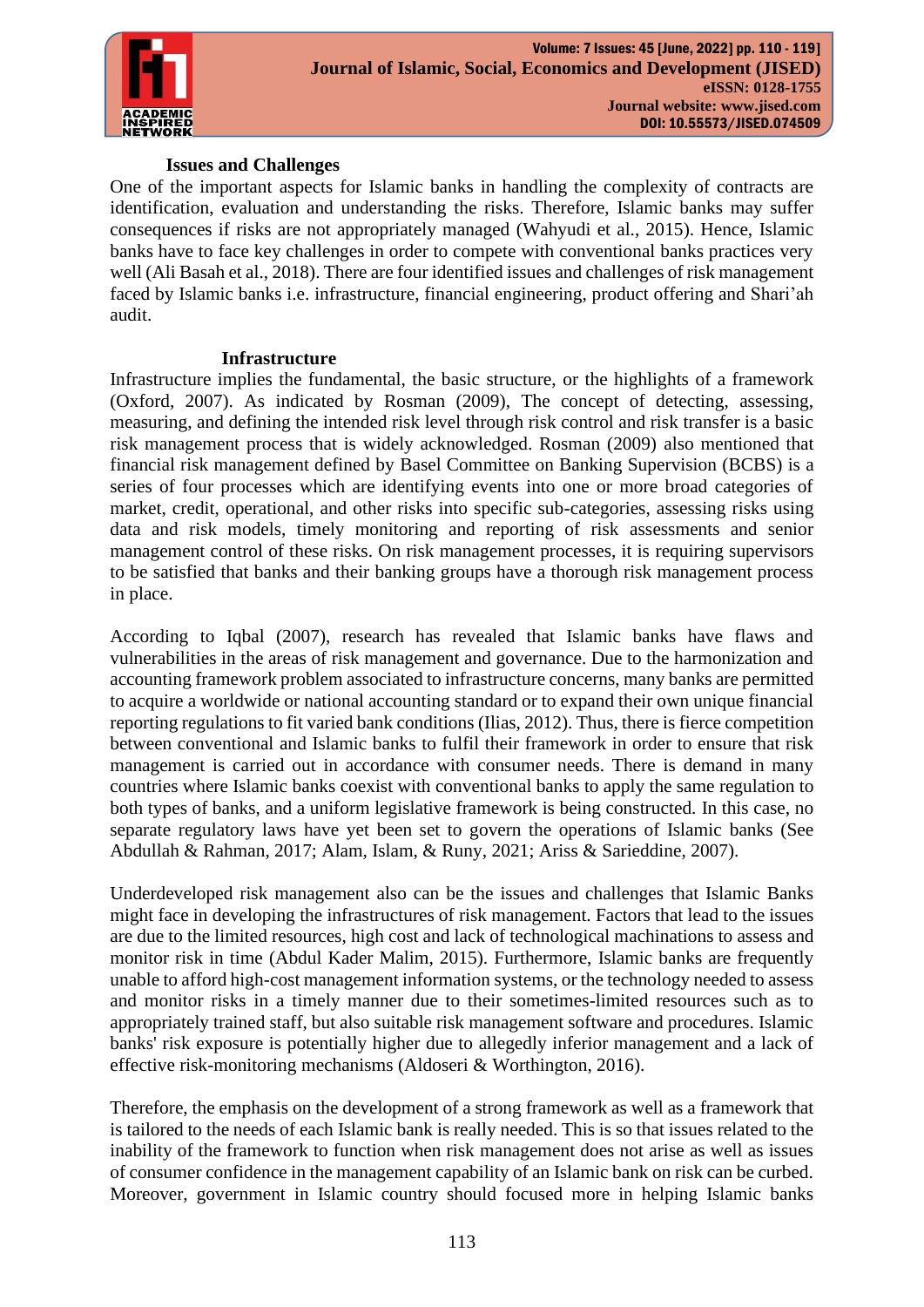

## **Issues and Challenges**

One of the important aspects for Islamic banks in handling the complexity of contracts are identification, evaluation and understanding the risks. Therefore, Islamic banks may suffer consequences if risks are not appropriately managed [\(Wahyudi et al., 2015\)](#page-9-0). Hence, Islamic banks have to face key challenges in order to compete with conventional banks practices very well [\(Ali Basah et al., 2018\)](#page-7-0). There are four identified issues and challenges of risk management faced by Islamic banks i.e. infrastructure, financial engineering, product offering and Shari'ah audit.

#### **Infrastructure**

Infrastructure implies the fundamental, the basic structure, or the highlights of a framework [\(Oxford, 2007\)](#page-8-2). As indicated by [Rosman \(2009\),](#page-8-3) The concept of detecting, assessing, measuring, and defining the intended risk level through risk control and risk transfer is a basic risk management process that is widely acknowledged. Rosman (2009) also mentioned that financial risk management defined by Basel Committee on Banking Supervision (BCBS) is a series of four processes which are identifying events into one or more broad categories of market, credit, operational, and other risks into specific sub-categories, assessing risks using data and risk models, timely monitoring and reporting of risk assessments and senior management control of these risks. On risk management processes, it is requiring supervisors to be satisfied that banks and their banking groups have a thorough risk management process in place.

According to [Iqbal \(2007\),](#page-8-4) research has revealed that Islamic banks have flaws and vulnerabilities in the areas of risk management and governance. Due to the harmonization and accounting framework problem associated to infrastructure concerns, many banks are permitted to acquire a worldwide or national accounting standard or to expand their own unique financial reporting regulations to fit varied bank conditions [\(Ilias, 2012\)](#page-8-5). Thus, there is fierce competition between conventional and Islamic banks to fulfil their framework in order to ensure that risk management is carried out in accordance with consumer needs. There is demand in many countries where Islamic banks coexist with conventional banks to apply the same regulation to both types of banks, and a uniform legislative framework is being constructed. In this case, no separate regulatory laws have yet been set to govern the operations of Islamic banks (See [Abdullah & Rahman, 2017;](#page-7-4) [Alam, Islam, & Runy, 2021;](#page-7-5) [Ariss & Sarieddine, 2007\)](#page-7-1).

Underdeveloped risk management also can be the issues and challenges that Islamic Banks might face in developing the infrastructures of risk management. Factors that lead to the issues are due to the limited resources, high cost and lack of technological machinations to assess and monitor risk in time [\(Abdul Kader Malim, 2015\)](#page-7-2). Furthermore, Islamic banks are frequently unable to afford high-cost management information systems, or the technology needed to assess and monitor risks in a timely manner due to their sometimes-limited resources such as to appropriately trained staff, but also suitable risk management software and procedures. Islamic banks' risk exposure is potentially higher due to allegedly inferior management and a lack of effective risk-monitoring mechanisms [\(Aldoseri & Worthington, 2016\)](#page-7-6).

Therefore, the emphasis on the development of a strong framework as well as a framework that is tailored to the needs of each Islamic bank is really needed. This is so that issues related to the inability of the framework to function when risk management does not arise as well as issues of consumer confidence in the management capability of an Islamic bank on risk can be curbed. Moreover, government in Islamic country should focused more in helping Islamic banks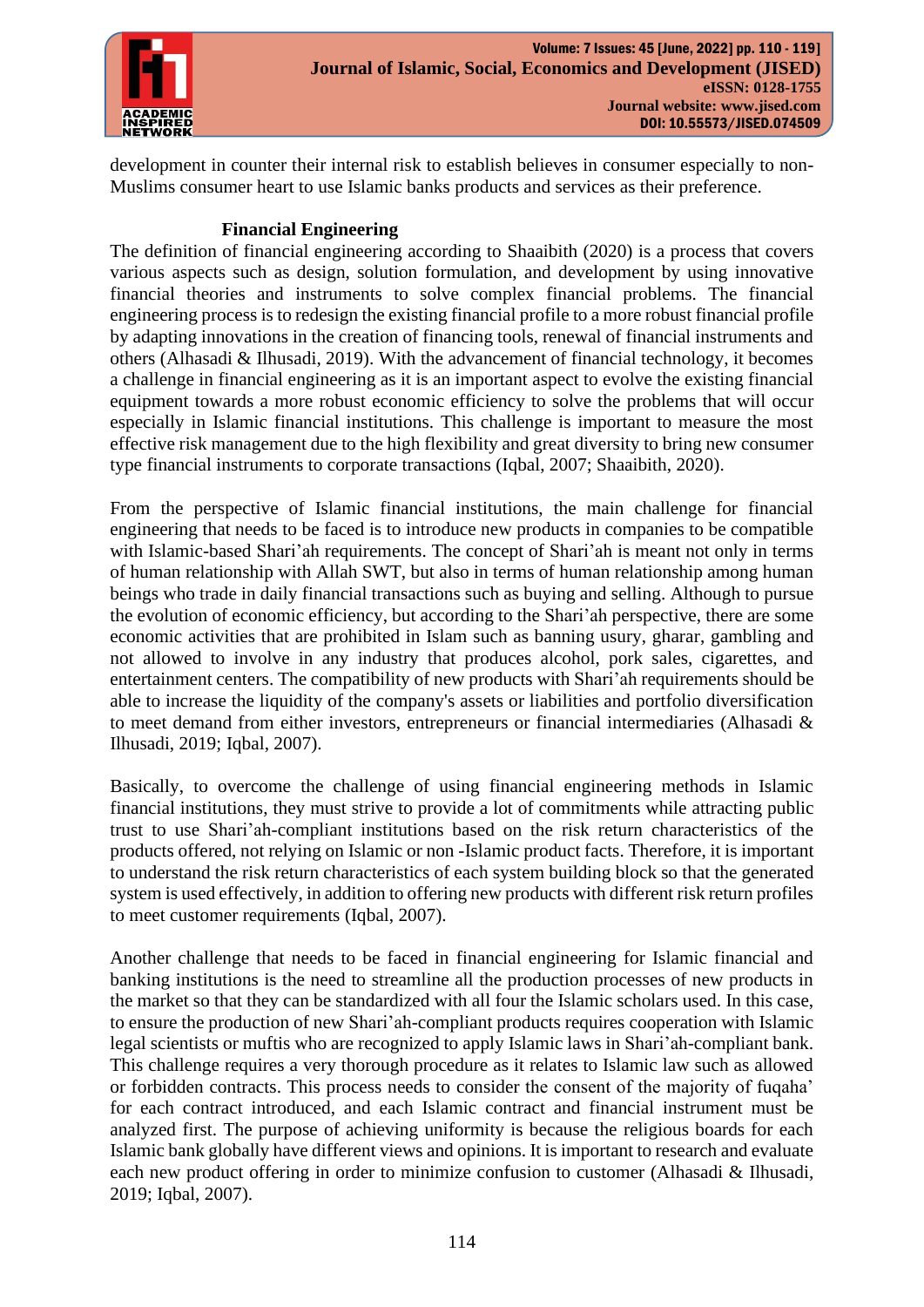

development in counter their internal risk to establish believes in consumer especially to non-Muslims consumer heart to use Islamic banks products and services as their preference.

# **Financial Engineering**

The definition of financial engineering according to [Shaaibith \(2020\)](#page-8-6) is a process that covers various aspects such as design, solution formulation, and development by using innovative financial theories and instruments to solve complex financial problems. The financial engineering process is to redesign the existing financial profile to a more robust financial profile by adapting innovations in the creation of financing tools, renewal of financial instruments and others (Alhasadi & Ilhusadi, 2019). With the advancement of financial technology, it becomes a challenge in financial engineering as it is an important aspect to evolve the existing financial equipment towards a more robust economic efficiency to solve the problems that will occur especially in Islamic financial institutions. This challenge is important to measure the most effective risk management due to the high flexibility and great diversity to bring new consumer type financial instruments to corporate transactions [\(Iqbal, 2007;](#page-8-4) [Shaaibith, 2020\)](#page-8-6).

From the perspective of Islamic financial institutions, the main challenge for financial engineering that needs to be faced is to introduce new products in companies to be compatible with Islamic-based Shari'ah requirements. The concept of Shari'ah is meant not only in terms of human relationship with Allah SWT, but also in terms of human relationship among human beings who trade in daily financial transactions such as buying and selling. Although to pursue the evolution of economic efficiency, but according to the Shari'ah perspective, there are some economic activities that are prohibited in Islam such as banning usury, gharar, gambling and not allowed to involve in any industry that produces alcohol, pork sales, cigarettes, and entertainment centers. The compatibility of new products with Shari'ah requirements should be able to increase the liquidity of the company's assets or liabilities and portfolio diversification to meet demand from either investors, entrepreneurs or financial intermediaries [\(Alhasadi &](#page-7-7)  [Ilhusadi, 2019;](#page-7-7) [Iqbal, 2007\)](#page-8-4).

Basically, to overcome the challenge of using financial engineering methods in Islamic financial institutions, they must strive to provide a lot of commitments while attracting public trust to use Shari'ah-compliant institutions based on the risk return characteristics of the products offered, not relying on Islamic or non -Islamic product facts. Therefore, it is important to understand the risk return characteristics of each system building block so that the generated system is used effectively, in addition to offering new products with different risk return profiles to meet customer requirements [\(Iqbal, 2007\)](#page-8-4).

Another challenge that needs to be faced in financial engineering for Islamic financial and banking institutions is the need to streamline all the production processes of new products in the market so that they can be standardized with all four the Islamic scholars used. In this case, to ensure the production of new Shari'ah-compliant products requires cooperation with Islamic legal scientists or muftis who are recognized to apply Islamic laws in Shari'ah-compliant bank. This challenge requires a very thorough procedure as it relates to Islamic law such as allowed or forbidden contracts. This process needs to consider the consent of the majority of fuqaha' for each contract introduced, and each Islamic contract and financial instrument must be analyzed first. The purpose of achieving uniformity is because the religious boards for each Islamic bank globally have different views and opinions. It is important to research and evaluate each new product offering in order to minimize confusion to customer [\(Alhasadi & Ilhusadi,](#page-7-7)  [2019;](#page-7-7) [Iqbal, 2007\)](#page-8-4).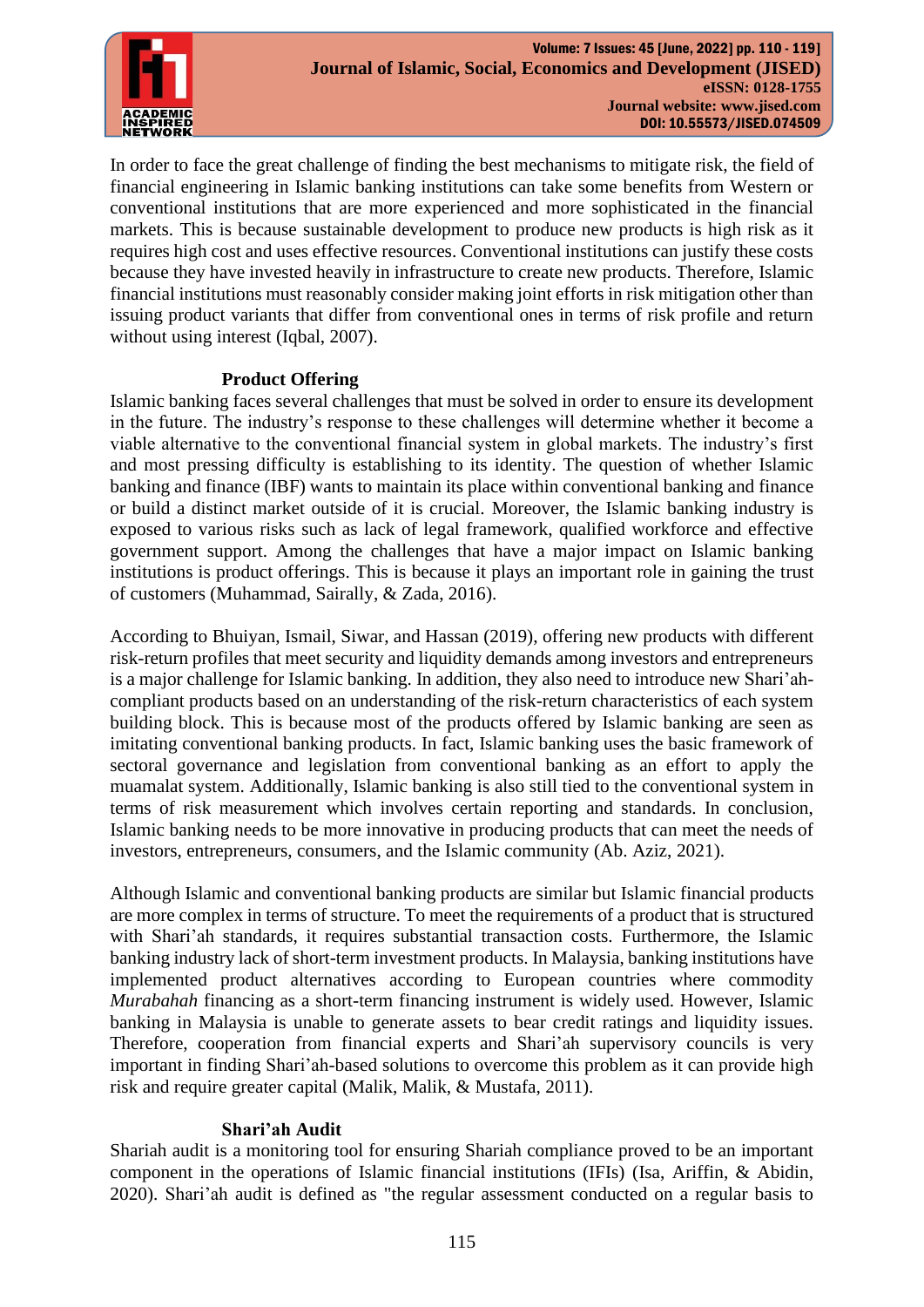

In order to face the great challenge of finding the best mechanisms to mitigate risk, the field of financial engineering in Islamic banking institutions can take some benefits from Western or conventional institutions that are more experienced and more sophisticated in the financial markets. This is because sustainable development to produce new products is high risk as it requires high cost and uses effective resources. Conventional institutions can justify these costs because they have invested heavily in infrastructure to create new products. Therefore, Islamic financial institutions must reasonably consider making joint efforts in risk mitigation other than issuing product variants that differ from conventional ones in terms of risk profile and return without using interest [\(Iqbal, 2007\)](#page-8-4).

### **Product Offering**

Islamic banking faces several challenges that must be solved in order to ensure its development in the future. The industry's response to these challenges will determine whether it become a viable alternative to the conventional financial system in global markets. The industry's first and most pressing difficulty is establishing to its identity. The question of whether Islamic banking and finance (IBF) wants to maintain its place within conventional banking and finance or build a distinct market outside of it is crucial. Moreover, the Islamic banking industry is exposed to various risks such as lack of legal framework, qualified workforce and effective government support. Among the challenges that have a major impact on Islamic banking institutions is product offerings. This is because it plays an important role in gaining the trust of customers [\(Muhammad, Sairally, & Zada, 2016\)](#page-8-7).

According to [Bhuiyan, Ismail, Siwar, and Hassan \(2019\),](#page-8-8) offering new products with different risk-return profiles that meet security and liquidity demands among investors and entrepreneurs is a major challenge for Islamic banking. In addition, they also need to introduce new Shari'ahcompliant products based on an understanding of the risk-return characteristics of each system building block. This is because most of the products offered by Islamic banking are seen as imitating conventional banking products. In fact, Islamic banking uses the basic framework of sectoral governance and legislation from conventional banking as an effort to apply the muamalat system. Additionally, Islamic banking is also still tied to the conventional system in terms of risk measurement which involves certain reporting and standards. In conclusion, Islamic banking needs to be more innovative in producing products that can meet the needs of investors, entrepreneurs, consumers, and the Islamic community [\(Ab. Aziz, 2021\)](#page-7-8).

Although Islamic and conventional banking products are similar but Islamic financial products are more complex in terms of structure. To meet the requirements of a product that is structured with Shari'ah standards, it requires substantial transaction costs. Furthermore, the Islamic banking industry lack of short-term investment products. In Malaysia, banking institutions have implemented product alternatives according to European countries where commodity *Murabahah* financing as a short-term financing instrument is widely used. However, Islamic banking in Malaysia is unable to generate assets to bear credit ratings and liquidity issues. Therefore, cooperation from financial experts and Shari'ah supervisory councils is very important in finding Shari'ah-based solutions to overcome this problem as it can provide high risk and require greater capital [\(Malik, Malik, & Mustafa, 2011\)](#page-8-9).

#### **Shari'ah Audit**

Shariah audit is a monitoring tool for ensuring Shariah compliance proved to be an important component in the operations of Islamic financial institutions (IFIs) [\(Isa, Ariffin, & Abidin,](#page-8-10)  [2020\)](#page-8-10). Shari'ah audit is defined as "the regular assessment conducted on a regular basis to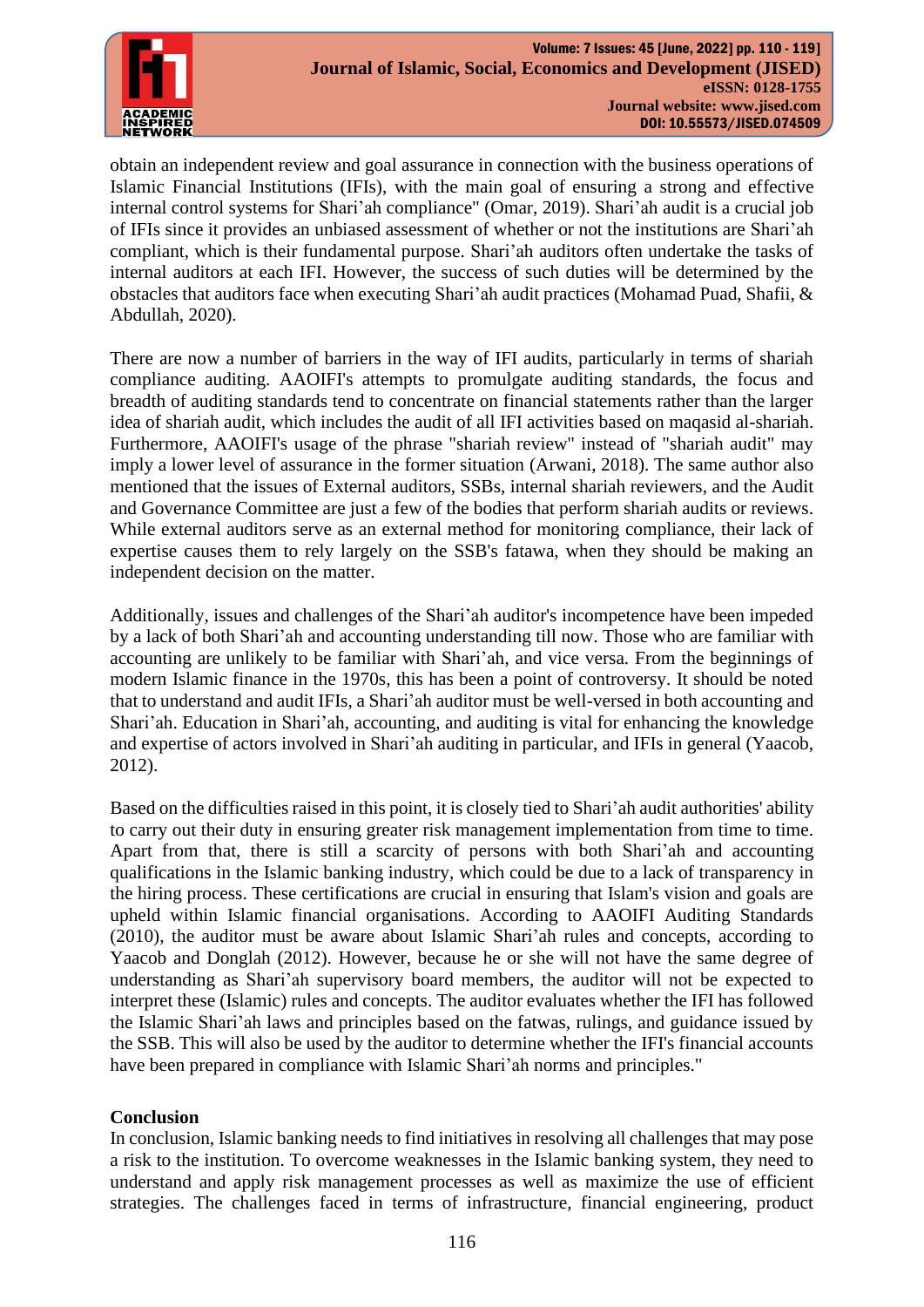

obtain an independent review and goal assurance in connection with the business operations of Islamic Financial Institutions (IFIs), with the main goal of ensuring a strong and effective internal control systems for Shari'ah compliance" [\(Omar, 2019\)](#page-8-11). Shari'ah audit is a crucial job of IFIs since it provides an unbiased assessment of whether or not the institutions are Shari'ah compliant, which is their fundamental purpose. Shari'ah auditors often undertake the tasks of internal auditors at each IFI. However, the success of such duties will be determined by the obstacles that auditors face when executing Shari'ah audit practices [\(Mohamad Puad, Shafii, &](#page-8-12)  [Abdullah, 2020\)](#page-8-12).

There are now a number of barriers in the way of IFI audits, particularly in terms of shariah compliance auditing. AAOIFI's attempts to promulgate auditing standards, the focus and breadth of auditing standards tend to concentrate on financial statements rather than the larger idea of shariah audit, which includes the audit of all IFI activities based on maqasid al-shariah. Furthermore, AAOIFI's usage of the phrase "shariah review" instead of "shariah audit" may imply a lower level of assurance in the former situation [\(Arwani, 2018\)](#page-8-13). The same author also mentioned that the issues of External auditors, SSBs, internal shariah reviewers, and the Audit and Governance Committee are just a few of the bodies that perform shariah audits or reviews. While external auditors serve as an external method for monitoring compliance, their lack of expertise causes them to rely largely on the SSB's fatawa, when they should be making an independent decision on the matter.

Additionally, issues and challenges of the Shari'ah auditor's incompetence have been impeded by a lack of both Shari'ah and accounting understanding till now. Those who are familiar with accounting are unlikely to be familiar with Shari'ah, and vice versa. From the beginnings of modern Islamic finance in the 1970s, this has been a point of controversy. It should be noted that to understand and audit IFIs, a Shari'ah auditor must be well-versed in both accounting and Shari'ah. Education in Shari'ah, accounting, and auditing is vital for enhancing the knowledge and expertise of actors involved in Shari'ah auditing in particular, and IFIs in general [\(Yaacob,](#page-9-3)  [2012\)](#page-9-3).

Based on the difficulties raised in this point, it is closely tied to Shari'ah audit authorities' ability to carry out their duty in ensuring greater risk management implementation from time to time. Apart from that, there is still a scarcity of persons with both Shari'ah and accounting qualifications in the Islamic banking industry, which could be due to a lack of transparency in the hiring process. These certifications are crucial in ensuring that Islam's vision and goals are upheld within Islamic financial organisations. According to AAOIFI Auditing Standards [\(2010\)](#page-7-9), the auditor must be aware about Islamic Shari'ah rules and concepts, according to [Yaacob and Donglah \(2012\).](#page-9-4) However, because he or she will not have the same degree of understanding as Shari'ah supervisory board members, the auditor will not be expected to interpret these (Islamic) rules and concepts. The auditor evaluates whether the IFI has followed the Islamic Shari'ah laws and principles based on the fatwas, rulings, and guidance issued by the SSB. This will also be used by the auditor to determine whether the IFI's financial accounts have been prepared in compliance with Islamic Shari'ah norms and principles."

# **Conclusion**

In conclusion, Islamic banking needs to find initiatives in resolving all challenges that may pose a risk to the institution. To overcome weaknesses in the Islamic banking system, they need to understand and apply risk management processes as well as maximize the use of efficient strategies. The challenges faced in terms of infrastructure, financial engineering, product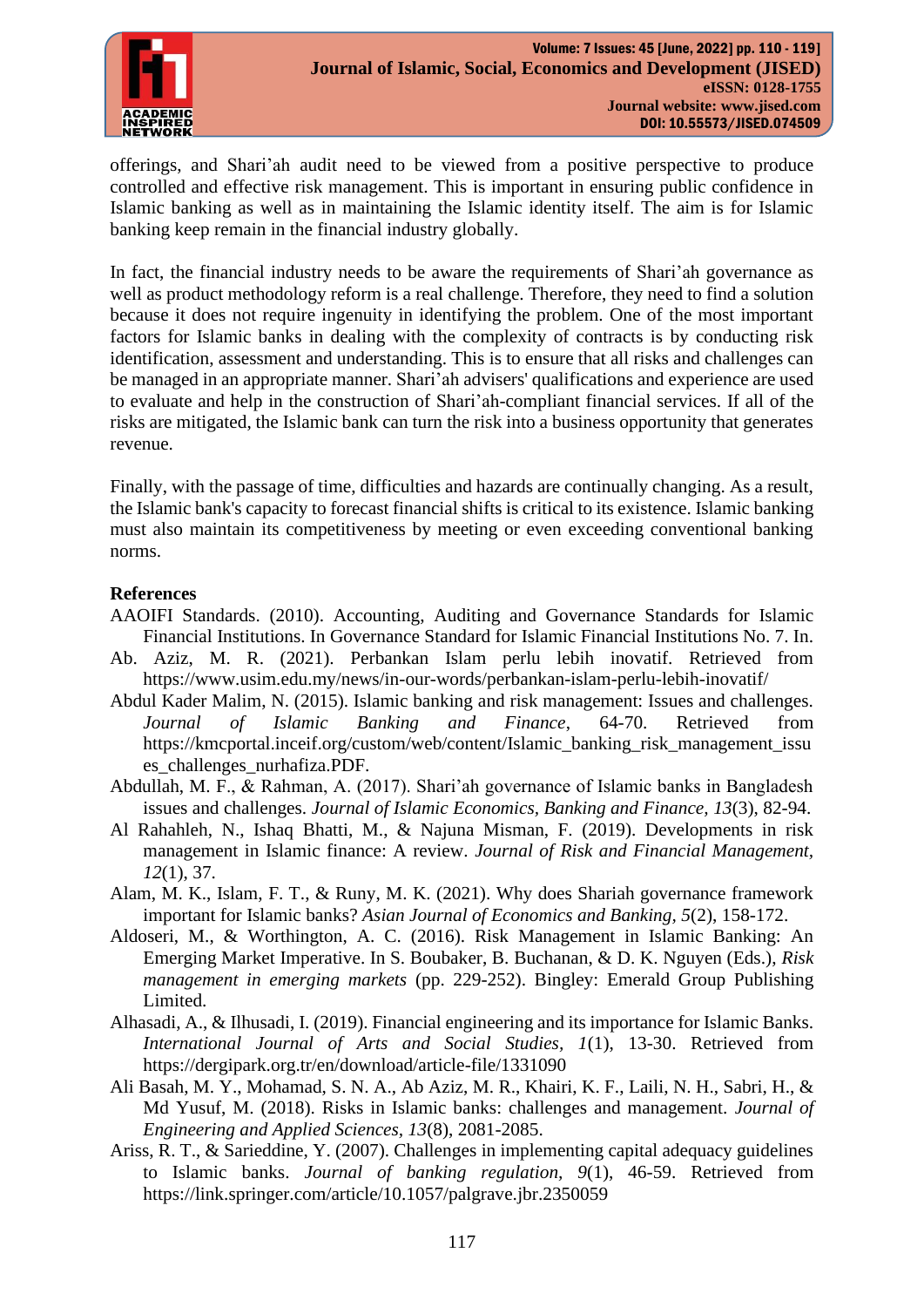

offerings, and Shari'ah audit need to be viewed from a positive perspective to produce controlled and effective risk management. This is important in ensuring public confidence in Islamic banking as well as in maintaining the Islamic identity itself. The aim is for Islamic banking keep remain in the financial industry globally.

In fact, the financial industry needs to be aware the requirements of Shari'ah governance as well as product methodology reform is a real challenge. Therefore, they need to find a solution because it does not require ingenuity in identifying the problem. One of the most important factors for Islamic banks in dealing with the complexity of contracts is by conducting risk identification, assessment and understanding. This is to ensure that all risks and challenges can be managed in an appropriate manner. Shari'ah advisers' qualifications and experience are used to evaluate and help in the construction of Shari'ah-compliant financial services. If all of the risks are mitigated, the Islamic bank can turn the risk into a business opportunity that generates revenue.

Finally, with the passage of time, difficulties and hazards are continually changing. As a result, the Islamic bank's capacity to forecast financial shifts is critical to its existence. Islamic banking must also maintain its competitiveness by meeting or even exceeding conventional banking norms.

### **References**

- <span id="page-7-9"></span>AAOIFI Standards. (2010). Accounting, Auditing and Governance Standards for Islamic Financial Institutions. In Governance Standard for Islamic Financial Institutions No. 7. In.
- <span id="page-7-8"></span>Ab. Aziz, M. R. (2021). Perbankan Islam perlu lebih inovatif. Retrieved from <https://www.usim.edu.my/news/in-our-words/perbankan-islam-perlu-lebih-inovatif/>
- <span id="page-7-2"></span>Abdul Kader Malim, N. (2015). Islamic banking and risk management: Issues and challenges. *Journal of Islamic Banking and Finance*, 64-70. Retrieved from [https://kmcportal.inceif.org/custom/web/content/Islamic\\_banking\\_risk\\_management\\_issu](https://kmcportal.inceif.org/custom/web/content/Islamic_banking_risk_management_issues_challenges_nurhafiza.PDF) [es\\_challenges\\_nurhafiza.PDF.](https://kmcportal.inceif.org/custom/web/content/Islamic_banking_risk_management_issues_challenges_nurhafiza.PDF)
- <span id="page-7-4"></span>Abdullah, M. F., & Rahman, A. (2017). Shari'ah governance of Islamic banks in Bangladesh issues and challenges. *Journal of Islamic Economics, Banking and Finance, 13*(3), 82-94.
- <span id="page-7-3"></span>Al Rahahleh, N., Ishaq Bhatti, M., & Najuna Misman, F. (2019). Developments in risk management in Islamic finance: A review. *Journal of Risk and Financial Management, 12*(1), 37.
- <span id="page-7-5"></span>Alam, M. K., Islam, F. T., & Runy, M. K. (2021). Why does Shariah governance framework important for Islamic banks? *Asian Journal of Economics and Banking, 5*(2), 158-172.
- <span id="page-7-6"></span>Aldoseri, M., & Worthington, A. C. (2016). Risk Management in Islamic Banking: An Emerging Market Imperative. In S. Boubaker, B. Buchanan, & D. K. Nguyen (Eds.), *Risk management in emerging markets* (pp. 229-252). Bingley: Emerald Group Publishing Limited.
- <span id="page-7-7"></span>Alhasadi, A., & Ilhusadi, I. (2019). Financial engineering and its importance for Islamic Banks. *International Journal of Arts and Social Studies, 1*(1), 13-30. Retrieved from <https://dergipark.org.tr/en/download/article-file/1331090>
- <span id="page-7-0"></span>Ali Basah, M. Y., Mohamad, S. N. A., Ab Aziz, M. R., Khairi, K. F., Laili, N. H., Sabri, H., & Md Yusuf, M. (2018). Risks in Islamic banks: challenges and management. *Journal of Engineering and Applied Sciences, 13*(8), 2081-2085.
- <span id="page-7-1"></span>Ariss, R. T., & Sarieddine, Y. (2007). Challenges in implementing capital adequacy guidelines to Islamic banks. *Journal of banking regulation, 9*(1), 46-59. Retrieved from <https://link.springer.com/article/10.1057/palgrave.jbr.2350059>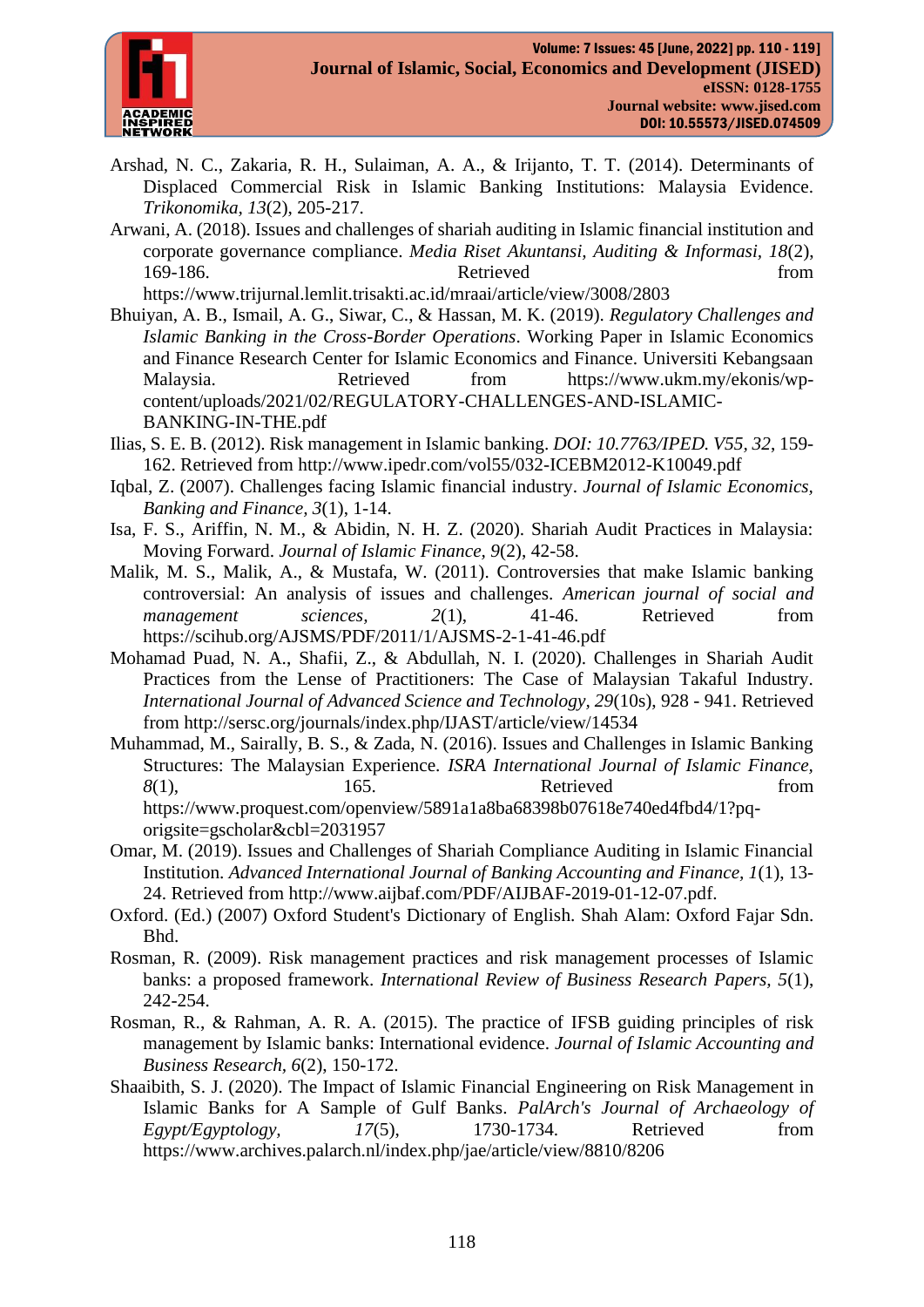

- <span id="page-8-1"></span>Arshad, N. C., Zakaria, R. H., Sulaiman, A. A., & Irijanto, T. T. (2014). Determinants of Displaced Commercial Risk in Islamic Banking Institutions: Malaysia Evidence. *Trikonomika, 13*(2), 205-217.
- <span id="page-8-13"></span>Arwani, A. (2018). Issues and challenges of shariah auditing in Islamic financial institution and corporate governance compliance. *Media Riset Akuntansi, Auditing & Informasi, 18*(2), 169-186. Retrieved from

<https://www.trijurnal.lemlit.trisakti.ac.id/mraai/article/view/3008/2803>

- <span id="page-8-8"></span>Bhuiyan, A. B., Ismail, A. G., Siwar, C., & Hassan, M. K. (2019). *Regulatory Challenges and Islamic Banking in the Cross-Border Operations*. Working Paper in Islamic Economics and Finance Research Center for Islamic Economics and Finance. Universiti Kebangsaan Malaysia. Retrieved from [https://www.ukm.my/ekonis/wp](https://www.ukm.my/ekonis/wp-content/uploads/2021/02/REGULATORY-CHALLENGES-AND-ISLAMIC-BANKING-IN-THE.pdf)[content/uploads/2021/02/REGULATORY-CHALLENGES-AND-ISLAMIC-](https://www.ukm.my/ekonis/wp-content/uploads/2021/02/REGULATORY-CHALLENGES-AND-ISLAMIC-BANKING-IN-THE.pdf)[BANKING-IN-THE.pdf](https://www.ukm.my/ekonis/wp-content/uploads/2021/02/REGULATORY-CHALLENGES-AND-ISLAMIC-BANKING-IN-THE.pdf)
- <span id="page-8-5"></span>Ilias, S. E. B. (2012). Risk management in Islamic banking. *DOI: 10.7763/IPED. V55, 32*, 159- 162. Retrieved from<http://www.ipedr.com/vol55/032-ICEBM2012-K10049.pdf>
- <span id="page-8-4"></span>Iqbal, Z. (2007). Challenges facing Islamic financial industry. *Journal of Islamic Economics, Banking and Finance, 3*(1), 1-14.
- <span id="page-8-10"></span>Isa, F. S., Ariffin, N. M., & Abidin, N. H. Z. (2020). Shariah Audit Practices in Malaysia: Moving Forward. *Journal of Islamic Finance, 9*(2), 42-58.
- <span id="page-8-9"></span>Malik, M. S., Malik, A., & Mustafa, W. (2011). Controversies that make Islamic banking controversial: An analysis of issues and challenges. *American journal of social and management sciences*, 2(1), 41-46. Retrieved from <https://scihub.org/AJSMS/PDF/2011/1/AJSMS-2-1-41-46.pdf>
- <span id="page-8-12"></span>Mohamad Puad, N. A., Shafii, Z., & Abdullah, N. I. (2020). Challenges in Shariah Audit Practices from the Lense of Practitioners: The Case of Malaysian Takaful Industry. *International Journal of Advanced Science and Technology, 29*(10s), 928 - 941. Retrieved from<http://sersc.org/journals/index.php/IJAST/article/view/14534>
- <span id="page-8-7"></span>Muhammad, M., Sairally, B. S., & Zada, N. (2016). Issues and Challenges in Islamic Banking Structures: The Malaysian Experience. *ISRA International Journal of Islamic Finance, 8*(1), 165. Retrieved from [https://www.proquest.com/openview/5891a1a8ba68398b07618e740ed4fbd4/1?pq](https://www.proquest.com/openview/5891a1a8ba68398b07618e740ed4fbd4/1?pq-origsite=gscholar&cbl=2031957)[origsite=gscholar&cbl=2031957](https://www.proquest.com/openview/5891a1a8ba68398b07618e740ed4fbd4/1?pq-origsite=gscholar&cbl=2031957)
- <span id="page-8-11"></span>Omar, M. (2019). Issues and Challenges of Shariah Compliance Auditing in Islamic Financial Institution. *Advanced International Journal of Banking Accounting and Finance, 1*(1), 13- 24. Retrieved from [http://www.aijbaf.com/PDF/AIJBAF-2019-01-12-07.pdf.](http://www.aijbaf.com/PDF/AIJBAF-2019-01-12-07.pdf)
- <span id="page-8-2"></span>Oxford. (Ed.) (2007) Oxford Student's Dictionary of English. Shah Alam: Oxford Fajar Sdn. Bhd.
- <span id="page-8-3"></span>Rosman, R. (2009). Risk management practices and risk management processes of Islamic banks: a proposed framework. *International Review of Business Research Papers, 5*(1), 242-254.
- <span id="page-8-0"></span>Rosman, R., & Rahman, A. R. A. (2015). The practice of IFSB guiding principles of risk management by Islamic banks: International evidence. *Journal of Islamic Accounting and Business Research, 6*(2), 150-172.
- <span id="page-8-6"></span>Shaaibith, S. J. (2020). The Impact of Islamic Financial Engineering on Risk Management in Islamic Banks for A Sample of Gulf Banks. *PalArch's Journal of Archaeology of Egypt/Egyptology, 17*(5), 1730-1734. Retrieved from <https://www.archives.palarch.nl/index.php/jae/article/view/8810/8206>